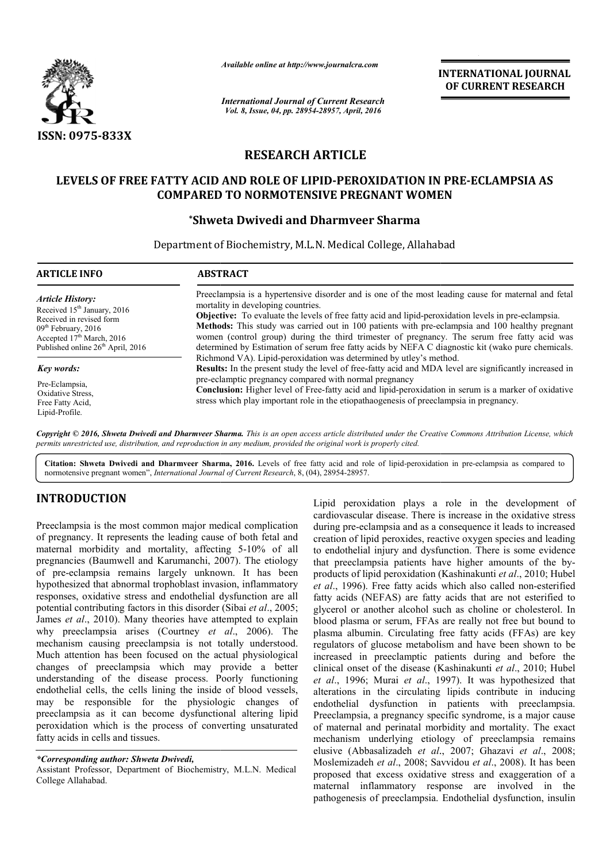

*Available online at http://www.journalcra.com*

*International Journal of Current Research Vol. 8, Issue, 04, pp. 28954-28957, April, 2016*

INTERNATIONAL JOURNAL OF CURRENT RESEARCH

# RESEARCH ARTICLE

# LEVELS OF FREE FATTY ACID AND ROLE OF LIPID-PEROXIDATION IN PRE-ECLAMPSIA AS COMPARED TO NORMOTENSIVE PREGNANT WOMEN WOMEN

# \*Shweta Dwivedi and Dharmveer Sharma

Department of Biochemistry, M.L.N. Medical College, Allahabad

| <b>ARTICLE INFO</b>                                                                                                                                                                                               | <b>ABSTRACT</b>                                                                                                                                                                                                                                                                                                                                                                                                                                                                                                                                                  |  |
|-------------------------------------------------------------------------------------------------------------------------------------------------------------------------------------------------------------------|------------------------------------------------------------------------------------------------------------------------------------------------------------------------------------------------------------------------------------------------------------------------------------------------------------------------------------------------------------------------------------------------------------------------------------------------------------------------------------------------------------------------------------------------------------------|--|
| <b>Article History:</b><br>Received 15 <sup>th</sup> January, 2016<br>Received in revised form<br>$09th$ February, 2016<br>Accepted 17 <sup>th</sup> March, 2016<br>Published online 26 <sup>th</sup> April, 2016 | Preeclampsia is a hypertensive disorder and is one of the most leading cause for maternal and fetal<br>mortality in developing countries.<br><b>Objective:</b> To evaluate the levels of free fatty acid and lipid-peroxidation levels in pre-eclampsia.<br>Methods: This study was carried out in 100 patients with pre-eclampsia and 100 healthy pregnant<br>women (control group) during the third trimester of pregnancy. The serum free fatty acid was<br>determined by Estimation of serum free fatty acids by NEFA C diagnostic kit (wako pure chemicals. |  |
| Key words:                                                                                                                                                                                                        | Richmond VA). Lipid-peroxidation was determined by utley's method.<br><b>Results:</b> In the present study the level of free-fatty acid and MDA level are significantly increased in                                                                                                                                                                                                                                                                                                                                                                             |  |
| Pre-Eclampsia,<br>Oxidative Stress.<br>Free Fatty Acid.<br>Lipid-Profile.                                                                                                                                         | pre-eclamptic pregnancy compared with normal pregnancy<br>Conclusion: Higher level of Free-fatty acid and lipid-peroxidation in serum is a marker of oxidative<br>stress which play important role in the etiopathaogenesis of preeclampsia in pregnancy.                                                                                                                                                                                                                                                                                                        |  |

Copyright © 2016, Shweta Dwivedi and Dharmveer Sharma. This is an open access article distributed under the Creative Commons Attribution License, which *permits unrestricted use, distribution, and reproduction in any medium, provided the original work is properly cited.*

Citation: Shweta Dwivedi and Dharmveer Sharma, 2016. Levels of free fatty acid and role of lipid-peroxidation in pre-eclampsia as compared to normotensive pregnant women", *International Journal of Current Research* , 8, (04), 28954-28957.

# INTRODUCTION

Preeclampsia is the most common major medical complication of pregnancy. It represents the leading cause of both fetal and maternal morbidity and mortality, affecting 5 5-10% of all pregnancies (Baumwell and Karumanchi, 2007) 2007). The etiology of pre-eclampsia remains largely unknown. It has been hypothesized that abnormal trophoblast invasion, inflammatory responses, oxidative stress and endothelial dysfunction are all potential contributing factors in this disorder (Sibai et al., 2005; James *et al*., 2010). Many theories have attempted to explain James *et al.*, 2010). Many theories have attempted to explain why preeclampsia arises (Courtney *et al.*, 2006). The mechanism causing preeclampsia is not totally understood. Much attention has been focused on the actual physiological changes of preeclampsia which may provide a better understanding of the disease process. Poorly functioning endothelial cells, the cells lining the inside of blood vessels, may be responsible for the physiologic changes of preeclampsia as it can become dysfunctional altering lipid peroxidation which is the process of converting unsaturated fatty acids in cells and tissues. eclampsia remains largely unknown. It has been<br>sized that abnormal trophoblast invasion, inflammatory<br>es, oxidative stress and endothelial dysfunction are all<br>1 contributing factors in this disorder (Sibai *et al.*, 2005;

*\*Corresponding author: Shweta Dwivedi,* 

Assistant Professor, Department of Biochemistry, M.L.N. Medical College Allahabad.

Lipid peroxidation plays a role in the development of Lipid peroxidation plays a role in the development of cardiovascular disease. There is increase in the oxidative stress during pre-eclampsia and as a consequence it leads to increased creation of lipid peroxides, reactive oxygen species and leading to endothelial injury and dysfunction. There is some evidence that preeclampsia patients have higher amounts of the by products of lipid peroxidation (Kashinakunti *et al*., 2010; Hubel et al., 1996). Free fatty acids which also called non-esterified fatty acids (NEFAS) are fatty acids that are not esterified to glycerol or another alcohol such as choline or cholesterol. In blood plasma or serum, FFAs are really not free but bound to plasma albumin. Circulating free fatty acids (FFAs) are key regulators of glucose metabolism and have been shown to be increased in preeclamptic patients during and before the clinical onset of the disease (Kashinakunti et al., 2010; Hubel et al., 1996; Murai et al., 1997). It was hypothesized that alterations in the circulating lipids contribute in inducing endothelial dysfunction in patients with preeclampsia. Preeclampsia, a pregnancy specific syndrome, is a major cause of maternal and perinatal morbidity and mortality. The exact of maternal and perinatal morbidity and mortality. The exact mechanism underlying etiology of preeclampsia remains elusive (Abbasalizadeh *et al*., 2007; Ghazavi *et al*., 2008; Moslemizadeh *et al*., 2008; Savvidou *et al*., 2008). It has been proposed that excess oxidative stress and exaggeration of a maternal inflammatory response are involved in the pathogenesis of preeclampsia. Endothelial dysfunction, insulin ring pre-eclampsia and as a consequence it leads to increased<br>ation of lipid peroxides, reactive oxygen species and leading<br>endothelial injury and dysfunction. There is some evidence<br>t preeclampsia patients have higher amo fatty acids (NEFAS) are fatty acids that are not esterified to glycerol or another alcohol such as choline or cholesterol. In blood plasma or serum, FFAs are really not free but bound to plasma albumin. Circulating free fa If the circulating lipids contribute in inducing dysfunction in patients with preeclampsia.<br>Supersimone, is a major cause, is a major cause **EXERCAL THONAL FORMATIONAL FOUNDAL CONTROL CONTROL CONTROL CONTROL CONTROL CONTROL TO CONTROL TO THE CONTROL (CONTROL TO THE CONTROL TO THE CONTROL TO THE CONTROL TO THE CONTROL TO THE CONTROL TO THE CONTROL TO THE CONTR**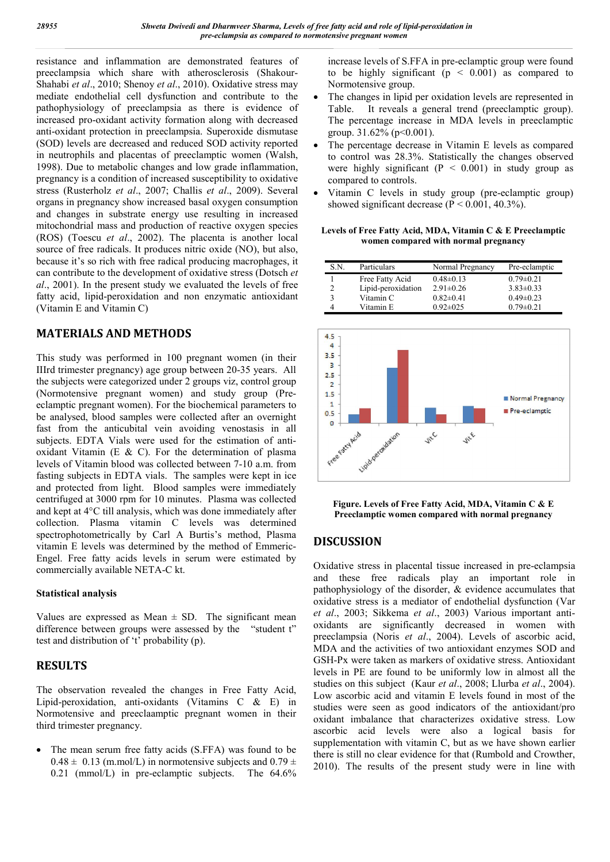resistance and inflammation are demonstrated features of preeclampsia which share with atherosclerosis (Shakour-Shahabi *et al*., 2010; Shenoy *et al*., 2010). Oxidative stress may mediate endothelial cell dysfunction and contribute to the pathophysiology of preeclampsia as there is evidence of increased pro-oxidant activity formation along with decreased anti-oxidant protection in preeclampsia. Superoxide dismutase (SOD) levels are decreased and reduced SOD activity reported in neutrophils and placentas of preeclamptic women (Walsh, 1998). Due to metabolic changes and low grade inflammation, pregnancy is a condition of increased susceptibility to oxidative stress (Rusterholz *et al*., 2007; Challis *et al*., 2009). Several organs in pregnancy show increased basal oxygen consumption and changes in substrate energy use resulting in increased mitochondrial mass and production of reactive oxygen species (ROS) (Toescu *et al*., 2002). The placenta is another local source of free radicals. It produces nitric oxide (NO), but also, because it's so rich with free radical producing macrophages, it can contribute to the development of oxidative stress (Dotsch *et al*., 2001). In the present study we evaluated the levels of free fatty acid, lipid-peroxidation and non enzymatic antioxidant (Vitamin E and Vitamin C)

# MATERIALS AND METHODS

This study was performed in 100 pregnant women (in their IIIrd trimester pregnancy) age group between 20-35 years. All the subjects were categorized under 2 groups viz, control group (Normotensive pregnant women) and study group (Preeclamptic pregnant women). For the biochemical parameters to be analysed, blood samples were collected after an overnight fast from the anticubital vein avoiding venostasis in all subjects. EDTA Vials were used for the estimation of antioxidant Vitamin (E & C). For the determination of plasma levels of Vitamin blood was collected between 7-10 a.m. from fasting subjects in EDTA vials. The samples were kept in ice and protected from light. Blood samples were immediately centrifuged at 3000 rpm for 10 minutes. Plasma was collected and kept at 4°C till analysis, which was done immediately after collection. Plasma vitamin C levels was determined spectrophotometrically by Carl A Burtis's method, Plasma vitamin E levels was determined by the method of Emmeric-Engel. Free fatty acids levels in serum were estimated by commercially available NETA-C kt.

### Statistical analysis

Values are expressed as Mean  $\pm$  SD. The significant mean difference between groups were assessed by the "student t" test and distribution of 't' probability (p).

# RESULTS

The observation revealed the changes in Free Fatty Acid, Lipid-peroxidation, anti-oxidants (Vitamins C & E) in Normotensive and preeclaamptic pregnant women in their third trimester pregnancy.

 The mean serum free fatty acids (S.FFA) was found to be  $0.48 \pm 0.13$  (m.mol/L) in normotensive subjects and  $0.79 \pm 0.13$ 0.21 (mmol/L) in pre-eclamptic subjects. The 64.6% increase levels of S.FFA in pre-eclamptic group were found to be highly significant ( $p \leq 0.001$ ) as compared to Normotensive group.

- The changes in lipid per oxidation levels are represented in Table. It reveals a general trend (preeclamptic group). The percentage increase in MDA levels in preeclamptic group.  $31.62\%$  (p < 0.001).
- The percentage decrease in Vitamin E levels as compared to control was 28.3%. Statistically the changes observed were highly significant  $(P < 0.001)$  in study group as compared to controls.
- Vitamin C levels in study group (pre-eclamptic group) showed significant decrease  $(P < 0.001, 40.3\%)$ .

Levels of Free Fatty Acid, MDA, Vitamin C & E Preeclamptic women compared with normal pregnancy

| S.N. | Particulars        | Normal Pregnancy | Pre-eclamptic   |
|------|--------------------|------------------|-----------------|
|      | Free Fatty Acid    | $0.48 \pm 0.13$  | $0.79 \pm 0.21$ |
|      | Lipid-peroxidation | $2.91 \pm 0.26$  | $3.83\pm0.33$   |
|      | Vitamin C          | $0.82 \pm 0.41$  | $0.49\pm0.23$   |
|      | Vitamin E          | $0.92 \pm 0.25$  | $0.79 \pm 0.21$ |



Figure. Levels of Free Fatty Acid, MDA, Vitamin C & E Preeclamptic women compared with normal pregnancy

# DISCUSSION

Oxidative stress in placental tissue increased in pre-eclampsia and these free radicals play an important role in pathophysiology of the disorder, & evidence accumulates that oxidative stress is a mediator of endothelial dysfunction (Var *et al*., 2003; Sikkema *et al*., 2003) Various important antioxidants are significantly decreased in women with preeclampsia (Noris *et al*., 2004). Levels of ascorbic acid, MDA and the activities of two antioxidant enzymes SOD and GSH-Px were taken as markers of oxidative stress. Antioxidant levels in PE are found to be uniformly low in almost all the studies on this subject (Kaur *et al*., 2008; Llurba *et al*., 2004). Low ascorbic acid and vitamin E levels found in most of the studies were seen as good indicators of the antioxidant/pro oxidant imbalance that characterizes oxidative stress. Low ascorbic acid levels were also a logical basis for supplementation with vitamin C, but as we have shown earlier there is still no clear evidence for that (Rumbold and Crowther, 2010). The results of the present study were in line with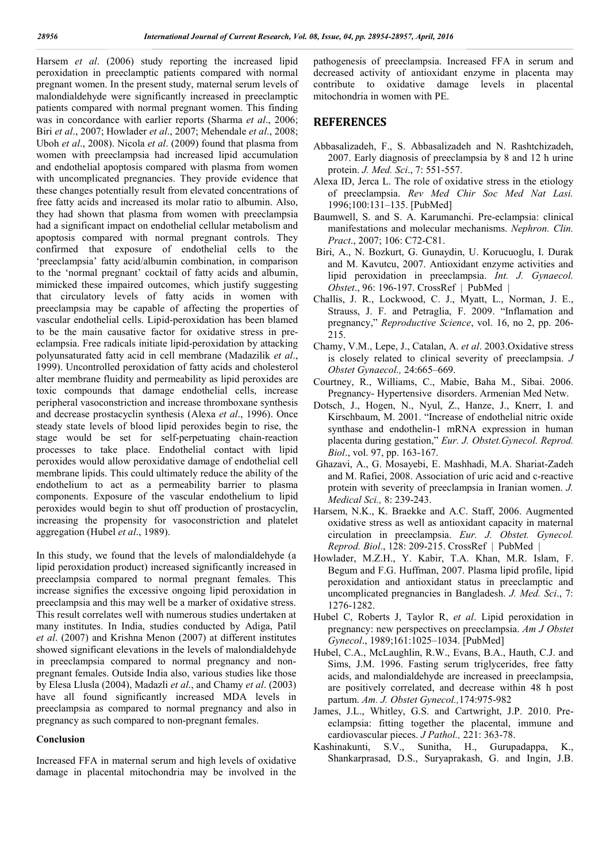Harsem *et al*. (2006) study reporting the increased lipid peroxidation in preeclamptic patients compared with normal pregnant women. In the present study, maternal serum levels of malondialdehyde were significantly increased in preeclamptic patients compared with normal pregnant women. This finding was in concordance with earlier reports (Sharma *et al*., 2006; Biri *et al*., 2007; Howlader *et al*., 2007; Mehendale *et al*., 2008; Uboh *et al*., 2008). Nicola *et al*. (2009) found that plasma from women with preeclampsia had increased lipid accumulation and endothelial apoptosis compared with plasma from women with uncomplicated pregnancies. They provide evidence that these changes potentially result from elevated concentrations of free fatty acids and increased its molar ratio to albumin. Also, they had shown that plasma from women with preeclampsia had a significant impact on endothelial cellular metabolism and apoptosis compared with normal pregnant controls. They confirmed that exposure of endothelial cells to the 'preeclampsia' fatty acid/albumin combination, in comparison to the 'normal pregnant' cocktail of fatty acids and albumin, mimicked these impaired outcomes, which justify suggesting that circulatory levels of fatty acids in women with preeclampsia may be capable of affecting the properties of vascular endothelial cells. Lipid-peroxidation has been blamed to be the main causative factor for oxidative stress in preeclampsia. Free radicals initiate lipid-peroxidation by attacking polyunsaturated fatty acid in cell membrane (Madazilik *et al*., 1999). Uncontrolled peroxidation of fatty acids and cholesterol alter membrane fluidity and permeability as lipid peroxides are toxic compounds that damage endothelial cells, increase peripheral vasoconstriction and increase thromboxane synthesis and decrease prostacyclin synthesis (Alexa *et al*., 1996). Once steady state levels of blood lipid peroxides begin to rise, the stage would be set for self-perpetuating chain-reaction processes to take place. Endothelial contact with lipid peroxides would allow peroxidative damage of endothelial cell membrane lipids. This could ultimately reduce the ability of the endothelium to act as a permeability barrier to plasma components. Exposure of the vascular endothelium to lipid peroxides would begin to shut off production of prostacyclin, increasing the propensity for vasoconstriction and platelet aggregation (Hubel *et al*., 1989).

In this study, we found that the levels of malondialdehyde (a lipid peroxidation product) increased significantly increased in preeclampsia compared to normal pregnant females. This increase signifies the excessive ongoing lipid peroxidation in preeclampsia and this may well be a marker of oxidative stress. This result correlates well with numerous studies undertaken at many institutes. In India, studies conducted by Adiga, Patil *et al*. (2007) and Krishna Menon (2007) at different institutes showed significant elevations in the levels of malondialdehyde in preeclampsia compared to normal pregnancy and nonpregnant females. Outside India also, various studies like those by Elesa Llusla (2004), Madazli *et al*., and Chamy *et al*. (2003) have all found significantly increased MDA levels in preeclampsia as compared to normal pregnancy and also in pregnancy as such compared to non-pregnant females.

#### Conclusion

Increased FFA in maternal serum and high levels of oxidative damage in placental mitochondria may be involved in the

pathogenesis of preeclampsia. Increased FFA in serum and decreased activity of antioxidant enzyme in placenta may contribute to oxidative damage levels in placental mitochondria in women with PE.

#### **REFERENCES**

- Abbasalizadeh, F., S. Abbasalizadeh and N. Rashtchizadeh, 2007. Early diagnosis of preeclampsia by 8 and 12 h urine protein. *J. Med. Sci*., 7: 551-557.
- Alexa ID, Jerca L. The role of oxidative stress in the etiology of preeclampsia. *Rev Med Chir Soc Med Nat Lasi.*  1996;100:131–135. [PubMed]
- Baumwell, S. and S. A. Karumanchi. Pre-eclampsia: clinical manifestations and molecular mechanisms. *Nephron. Clin. Pract*., 2007; 106: C72-C81.
- Biri, A., N. Bozkurt, G. Gunaydin, U. Korucuoglu, I. Durak and M. Kavutcu, 2007. Antioxidant enzyme activities and lipid peroxidation in preeclampsia. *Int. J. Gynaecol. Obstet*., 96: 196-197. CrossRef | PubMed |
- Challis, J. R., Lockwood, C. J., Myatt, L., Norman, J. E., Strauss, J. F. and Petraglia, F. 2009. "Inflamation and pregnancy," *Reproductive Science*, vol. 16, no 2, pp. 206- 215.
- Chamy, V.M., Lepe, J., Catalan, A. *et al*. 2003.Oxidative stress is closely related to clinical severity of preeclampsia. *J Obstet Gynaecol.,* 24:665–669.
- Courtney, R., Williams, C., Mabie, Baha M., Sibai. 2006. Pregnancy- Hypertensive disorders. Armenian Med Netw.
- Dotsch, J., Hogen, N., Nyul, Z., Hanze, J., Knerr, I. and Kirschbaum, M. 2001. "Increase of endothelial nitric oxide synthase and endothelin-1 mRNA expression in human placenta during gestation," *Eur. J. Obstet.Gynecol. Reprod. Biol*., vol. 97, pp. 163-167.
- Ghazavi, A., G. Mosayebi, E. Mashhadi, M.A. Shariat-Zadeh and M. Rafiei, 2008. Association of uric acid and c-reactive protein with severity of preeclampsia in Iranian women. *J. Medical Sci.,* 8: 239-243.
- Harsem, N.K., K. Braekke and A.C. Staff, 2006. Augmented oxidative stress as well as antioxidant capacity in maternal circulation in preeclampsia. *Eur. J. Obstet. Gynecol. Reprod. Biol*., 128: 209-215. CrossRef | PubMed |
- Howlader, M.Z.H., Y. Kabir, T.A. Khan, M.R. Islam, F. Begum and F.G. Huffman, 2007. Plasma lipid profile, lipid peroxidation and antioxidant status in preeclamptic and uncomplicated pregnancies in Bangladesh. *J. Med. Sci*., 7: 1276-1282.
- Hubel C, Roberts J, Taylor R, *et al*. Lipid peroxidation in pregnancy: new perspectives on preeclampsia. *Am J Obstet Gynecol*., 1989;161:1025–1034. [PubMed]
- Hubel, C.A., McLaughlin, R.W., Evans, B.A., Hauth, C.J. and Sims, J.M. 1996. Fasting serum triglycerides, free fatty acids, and malondialdehyde are increased in preeclampsia, are positively correlated, and decrease within 48 h post partum. *Am. J. Obstet Gynecol.,*174:975-982
- James, J.L., Whitley, G.S. and Cartwright, J.P. 2010. Preeclampsia: fitting together the placental, immune and cardiovascular pieces. *J Pathol.,* 221: 363-78.
- Kashinakunti, S.V., Sunitha, H., Gurupadappa, K., Shankarprasad, D.S., Suryaprakash, G. and Ingin, J.B.